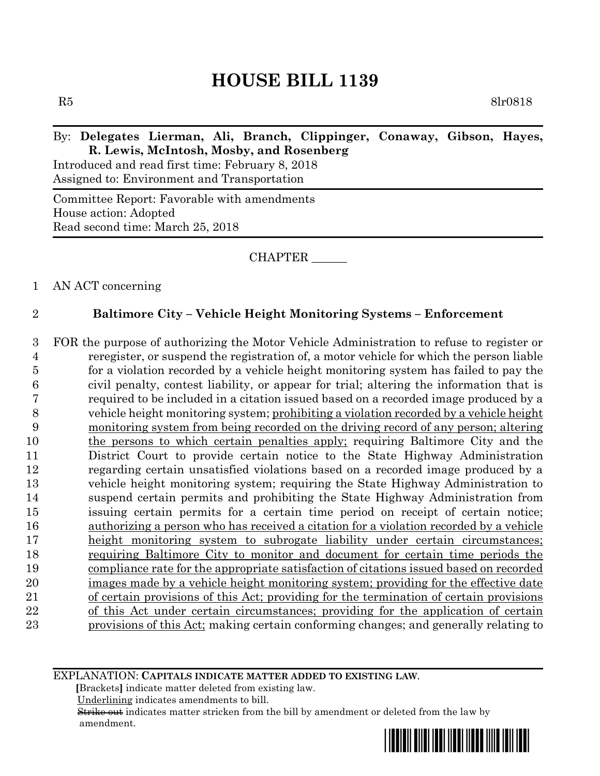$R5$  8lr0818

## By: **Delegates Lierman, Ali, Branch, Clippinger, Conaway, Gibson, Hayes, R. Lewis, McIntosh, Mosby, and Rosenberg**

Introduced and read first time: February 8, 2018 Assigned to: Environment and Transportation

Committee Report: Favorable with amendments House action: Adopted Read second time: March 25, 2018

CHAPTER \_\_\_\_\_\_

1 AN ACT concerning

# 2 **Baltimore City – Vehicle Height Monitoring Systems – Enforcement**

 FOR the purpose of authorizing the Motor Vehicle Administration to refuse to register or reregister, or suspend the registration of, a motor vehicle for which the person liable for a violation recorded by a vehicle height monitoring system has failed to pay the civil penalty, contest liability, or appear for trial; altering the information that is required to be included in a citation issued based on a recorded image produced by a vehicle height monitoring system; prohibiting a violation recorded by a vehicle height monitoring system from being recorded on the driving record of any person; altering the persons to which certain penalties apply; requiring Baltimore City and the District Court to provide certain notice to the State Highway Administration regarding certain unsatisfied violations based on a recorded image produced by a vehicle height monitoring system; requiring the State Highway Administration to suspend certain permits and prohibiting the State Highway Administration from issuing certain permits for a certain time period on receipt of certain notice; authorizing a person who has received a citation for a violation recorded by a vehicle height monitoring system to subrogate liability under certain circumstances; requiring Baltimore City to monitor and document for certain time periods the compliance rate for the appropriate satisfaction of citations issued based on recorded images made by a vehicle height monitoring system; providing for the effective date of certain provisions of this Act; providing for the termination of certain provisions of this Act under certain circumstances; providing for the application of certain provisions of this Act; making certain conforming changes; and generally relating to

EXPLANATION: **CAPITALS INDICATE MATTER ADDED TO EXISTING LAW**.

 **[**Brackets**]** indicate matter deleted from existing law.

Underlining indicates amendments to bill.

 Strike out indicates matter stricken from the bill by amendment or deleted from the law by amendment.

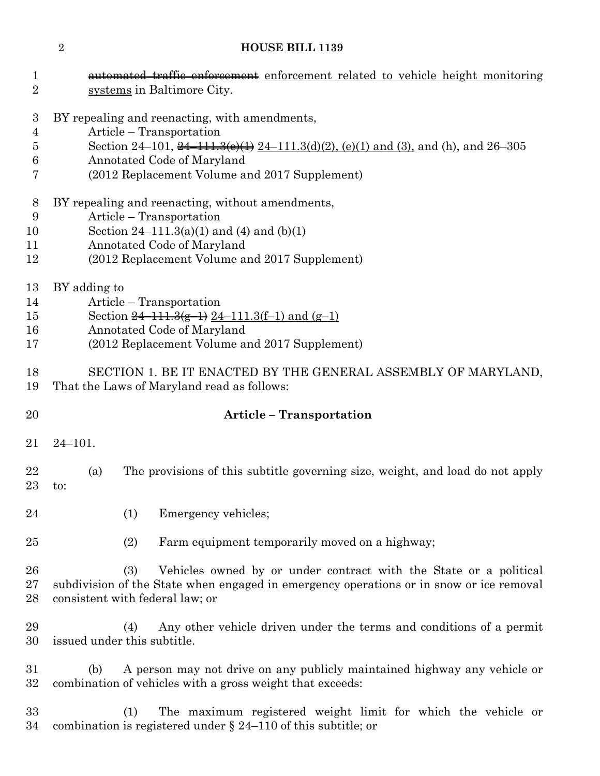| $\mathbf 1$<br>$\overline{2}$ | automated traffic enforcement enforcement related to vehicle height monitoring<br>systems in Baltimore City.               |  |  |  |
|-------------------------------|----------------------------------------------------------------------------------------------------------------------------|--|--|--|
| $\boldsymbol{3}$              | BY repealing and reenacting, with amendments,                                                                              |  |  |  |
| $\overline{4}$                | Article – Transportation                                                                                                   |  |  |  |
| 5                             | Section 24–101, $\frac{24-111.3(e)(1)}{24-111.3(d)(2)}$ , (e)(1) and (3), and (h), and 26–305                              |  |  |  |
| 6                             | Annotated Code of Maryland                                                                                                 |  |  |  |
| 7                             | (2012 Replacement Volume and 2017 Supplement)                                                                              |  |  |  |
| 8                             | BY repealing and reenacting, without amendments,                                                                           |  |  |  |
| 9                             | Article – Transportation                                                                                                   |  |  |  |
| 10                            | Section $24-111.3(a)(1)$ and $(4)$ and $(b)(1)$                                                                            |  |  |  |
| 11                            | Annotated Code of Maryland                                                                                                 |  |  |  |
| 12                            | (2012 Replacement Volume and 2017 Supplement)                                                                              |  |  |  |
| 13                            | BY adding to                                                                                                               |  |  |  |
| 14                            | Article – Transportation                                                                                                   |  |  |  |
| $15\,$                        | Section $\frac{24-111.3(g-1)}{24-111.3(f-1)}$ and $(g-1)$                                                                  |  |  |  |
| 16                            | Annotated Code of Maryland                                                                                                 |  |  |  |
| 17                            | (2012 Replacement Volume and 2017 Supplement)                                                                              |  |  |  |
| 18                            | SECTION 1. BE IT ENACTED BY THE GENERAL ASSEMBLY OF MARYLAND,                                                              |  |  |  |
| 19                            | That the Laws of Maryland read as follows:                                                                                 |  |  |  |
| 20                            | <b>Article - Transportation</b>                                                                                            |  |  |  |
| 21                            | $24 - 101.$                                                                                                                |  |  |  |
| 22<br>$23\,$                  | The provisions of this subtitle governing size, weight, and load do not apply<br>(a)<br>to:                                |  |  |  |
|                               |                                                                                                                            |  |  |  |
| 24                            | Emergency vehicles;<br>(1)                                                                                                 |  |  |  |
| 25                            | Farm equipment temporarily moved on a highway;<br>(2)                                                                      |  |  |  |
|                               |                                                                                                                            |  |  |  |
| 26                            | (3)<br>Vehicles owned by or under contract with the State or a political                                                   |  |  |  |
| $27\,$<br>28                  | subdivision of the State when engaged in emergency operations or in snow or ice removal<br>consistent with federal law; or |  |  |  |
| 29                            | Any other vehicle driven under the terms and conditions of a permit<br>(4)                                                 |  |  |  |
| 30                            | issued under this subtitle.                                                                                                |  |  |  |
| $31\,$                        | A person may not drive on any publicly maintained highway any vehicle or<br>(b)                                            |  |  |  |
| $32\,$                        | combination of vehicles with a gross weight that exceeds:                                                                  |  |  |  |
| 33                            | The maximum registered weight limit for which the vehicle or<br>(1)                                                        |  |  |  |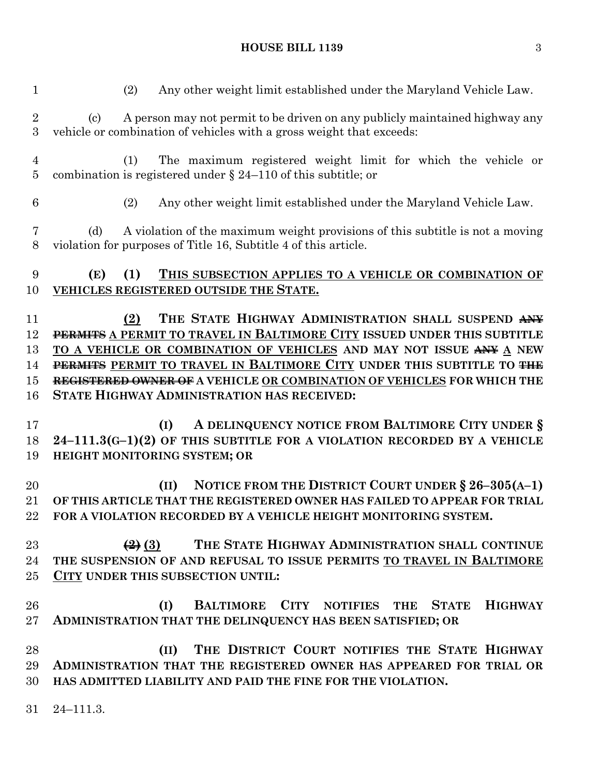(2) Any other weight limit established under the Maryland Vehicle Law. (c) A person may not permit to be driven on any publicly maintained highway any vehicle or combination of vehicles with a gross weight that exceeds: (1) The maximum registered weight limit for which the vehicle or combination is registered under § 24–110 of this subtitle; or (2) Any other weight limit established under the Maryland Vehicle Law. (d) A violation of the maximum weight provisions of this subtitle is not a moving violation for purposes of Title 16, Subtitle 4 of this article. **(E) (1) THIS SUBSECTION APPLIES TO A VEHICLE OR COMBINATION OF VEHICLES REGISTERED OUTSIDE THE STATE. (2) THE STATE HIGHWAY ADMINISTRATION SHALL SUSPEND ANY PERMITS A PERMIT TO TRAVEL IN BALTIMORE CITY ISSUED UNDER THIS SUBTITLE TO A VEHICLE OR COMBINATION OF VEHICLES AND MAY NOT ISSUE ANY A NEW PERMITS PERMIT TO TRAVEL IN BALTIMORE CITY UNDER THIS SUBTITLE TO THE REGISTERED OWNER OF A VEHICLE OR COMBINATION OF VEHICLES FOR WHICH THE STATE HIGHWAY ADMINISTRATION HAS RECEIVED: (I) A DELINQUENCY NOTICE FROM BALTIMORE CITY UNDER § 24–111.3(G–1)(2) OF THIS SUBTITLE FOR A VIOLATION RECORDED BY A VEHICLE HEIGHT MONITORING SYSTEM; OR (II) NOTICE FROM THE DISTRICT COURT UNDER § 26–305(A–1) OF THIS ARTICLE THAT THE REGISTERED OWNER HAS FAILED TO APPEAR FOR TRIAL FOR A VIOLATION RECORDED BY A VEHICLE HEIGHT MONITORING SYSTEM. (2) (3) THE STATE HIGHWAY ADMINISTRATION SHALL CONTINUE THE SUSPENSION OF AND REFUSAL TO ISSUE PERMITS TO TRAVEL IN BALTIMORE CITY UNDER THIS SUBSECTION UNTIL: (I) BALTIMORE CITY NOTIFIES THE STATE HIGHWAY ADMINISTRATION THAT THE DELINQUENCY HAS BEEN SATISFIED; OR (II) THE DISTRICT COURT NOTIFIES THE STATE HIGHWAY ADMINISTRATION THAT THE REGISTERED OWNER HAS APPEARED FOR TRIAL OR HAS ADMITTED LIABILITY AND PAID THE FINE FOR THE VIOLATION.** 24–111.3.

# **HOUSE BILL 1139** 3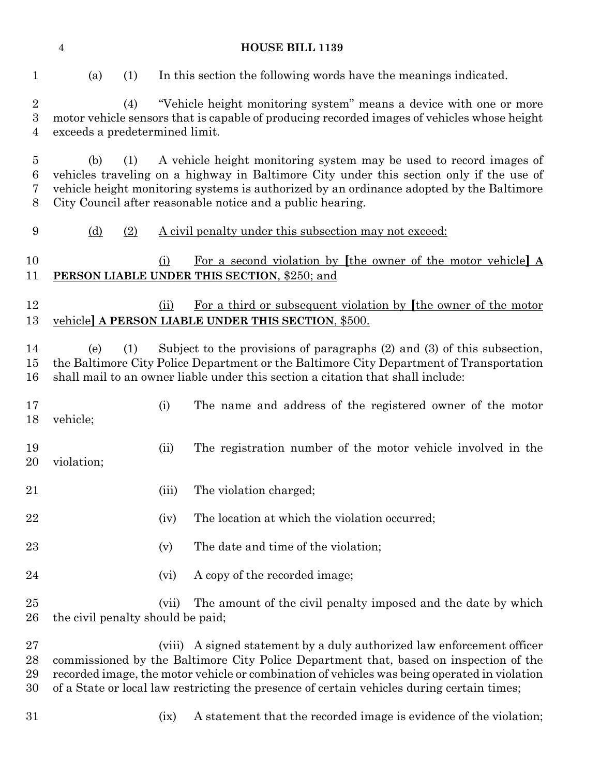| $\mathbf{1}$                                     | (a)<br>(1)                                                                                                                                                                                                                                                                                                                            |        | In this section the following words have the meanings indicated.                                                                                                                                                                                         |  |  |
|--------------------------------------------------|---------------------------------------------------------------------------------------------------------------------------------------------------------------------------------------------------------------------------------------------------------------------------------------------------------------------------------------|--------|----------------------------------------------------------------------------------------------------------------------------------------------------------------------------------------------------------------------------------------------------------|--|--|
| $\sqrt{2}$<br>$\boldsymbol{3}$<br>$\overline{4}$ | "Vehicle height monitoring system" means a device with one or more<br>(4)<br>motor vehicle sensors that is capable of producing recorded images of vehicles whose height<br>exceeds a predetermined limit.                                                                                                                            |        |                                                                                                                                                                                                                                                          |  |  |
| $\overline{5}$<br>6<br>7<br>8                    | A vehicle height monitoring system may be used to record images of<br>(b)<br>(1)<br>vehicles traveling on a highway in Baltimore City under this section only if the use of<br>vehicle height monitoring systems is authorized by an ordinance adopted by the Baltimore<br>City Council after reasonable notice and a public hearing. |        |                                                                                                                                                                                                                                                          |  |  |
| 9                                                | <u>(d)</u><br>(2)                                                                                                                                                                                                                                                                                                                     |        | A civil penalty under this subsection may not exceed:                                                                                                                                                                                                    |  |  |
| 10<br>11                                         |                                                                                                                                                                                                                                                                                                                                       | (i)    | For a second violation by [the owner of the motor vehicle] A<br>PERSON LIABLE UNDER THIS SECTION, \$250; and                                                                                                                                             |  |  |
| 12<br>13                                         |                                                                                                                                                                                                                                                                                                                                       | (ii)   | For a third or subsequent violation by [the owner of the motor<br>vehicle] A PERSON LIABLE UNDER THIS SECTION, \$500.                                                                                                                                    |  |  |
| 14<br>15<br>16                                   | (1)<br>(e)                                                                                                                                                                                                                                                                                                                            |        | Subject to the provisions of paragraphs (2) and (3) of this subsection,<br>the Baltimore City Police Department or the Baltimore City Department of Transportation<br>shall mail to an owner liable under this section a citation that shall include:    |  |  |
| 17<br>18                                         | vehicle;                                                                                                                                                                                                                                                                                                                              | (i)    | The name and address of the registered owner of the motor                                                                                                                                                                                                |  |  |
| 19<br>20                                         | violation;                                                                                                                                                                                                                                                                                                                            | (ii)   | The registration number of the motor vehicle involved in the                                                                                                                                                                                             |  |  |
| 21                                               |                                                                                                                                                                                                                                                                                                                                       | (iii)  | The violation charged;                                                                                                                                                                                                                                   |  |  |
| 22                                               |                                                                                                                                                                                                                                                                                                                                       | (iv)   | The location at which the violation occurred;                                                                                                                                                                                                            |  |  |
| 23                                               |                                                                                                                                                                                                                                                                                                                                       | (v)    | The date and time of the violation;                                                                                                                                                                                                                      |  |  |
| 24                                               |                                                                                                                                                                                                                                                                                                                                       | (vi)   | A copy of the recorded image;                                                                                                                                                                                                                            |  |  |
| 25<br>26                                         | the civil penalty should be paid;                                                                                                                                                                                                                                                                                                     | (vii)  | The amount of the civil penalty imposed and the date by which                                                                                                                                                                                            |  |  |
| 27<br>28<br>29                                   |                                                                                                                                                                                                                                                                                                                                       | (viii) | A signed statement by a duly authorized law enforcement officer<br>commissioned by the Baltimore City Police Department that, based on inspection of the<br>recorded image, the motor vehicle or combination of vehicles was being operated in violation |  |  |

- of a State or local law restricting the presence of certain vehicles during certain times;
- 
- (ix) A statement that the recorded image is evidence of the violation;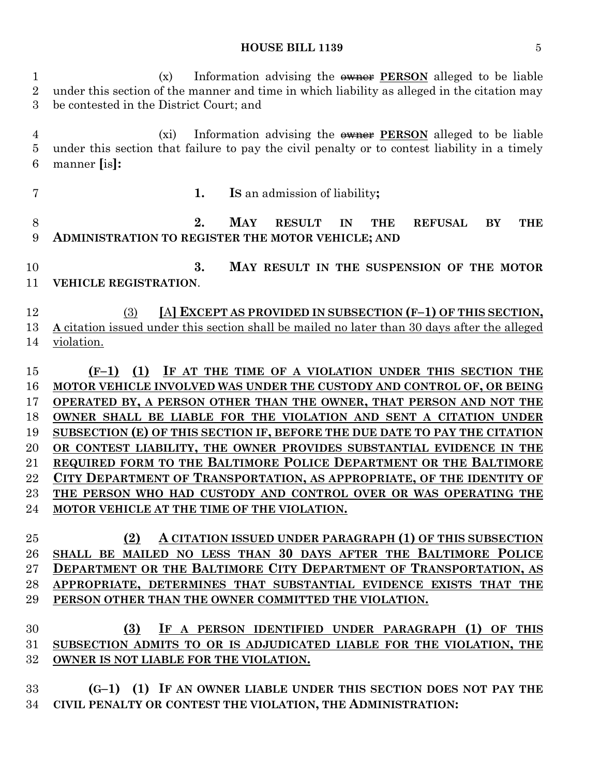#### **HOUSE BILL 1139** 5

 (x) Information advising the owner **PERSON** alleged to be liable under this section of the manner and time in which liability as alleged in the citation may be contested in the District Court; and (xi) Information advising the owner **PERSON** alleged to be liable under this section that failure to pay the civil penalty or to contest liability in a timely manner **[**is**]: 1. IS** an admission of liability**; 2. MAY RESULT IN THE REFUSAL BY THE ADMINISTRATION TO REGISTER THE MOTOR VEHICLE; AND 3. MAY RESULT IN THE SUSPENSION OF THE MOTOR VEHICLE REGISTRATION**. (3) **[**A**] EXCEPT AS PROVIDED IN SUBSECTION (F–1) OF THIS SECTION, A** citation issued under this section shall be mailed no later than 30 days after the alleged violation. **(F–1) (1) IF AT THE TIME OF A VIOLATION UNDER THIS SECTION THE MOTOR VEHICLE INVOLVED WAS UNDER THE CUSTODY AND CONTROL OF, OR BEING OPERATED BY, A PERSON OTHER THAN THE OWNER, THAT PERSON AND NOT THE OWNER SHALL BE LIABLE FOR THE VIOLATION AND SENT A CITATION UNDER SUBSECTION (E) OF THIS SECTION IF, BEFORE THE DUE DATE TO PAY THE CITATION OR CONTEST LIABILITY, THE OWNER PROVIDES SUBSTANTIAL EVIDENCE IN THE REQUIRED FORM TO THE BALTIMORE POLICE DEPARTMENT OR THE BALTIMORE CITY DEPARTMENT OF TRANSPORTATION, AS APPROPRIATE, OF THE IDENTITY OF THE PERSON WHO HAD CUSTODY AND CONTROL OVER OR WAS OPERATING THE MOTOR VEHICLE AT THE TIME OF THE VIOLATION. (2) A CITATION ISSUED UNDER PARAGRAPH (1) OF THIS SUBSECTION SHALL BE MAILED NO LESS THAN 30 DAYS AFTER THE BALTIMORE POLICE DEPARTMENT OR THE BALTIMORE CITY DEPARTMENT OF TRANSPORTATION, AS APPROPRIATE, DETERMINES THAT SUBSTANTIAL EVIDENCE EXISTS THAT THE PERSON OTHER THAN THE OWNER COMMITTED THE VIOLATION. (3) IF A PERSON IDENTIFIED UNDER PARAGRAPH (1) OF THIS SUBSECTION ADMITS TO OR IS ADJUDICATED LIABLE FOR THE VIOLATION, THE OWNER IS NOT LIABLE FOR THE VIOLATION.**

 **(G–1) (1) IF AN OWNER LIABLE UNDER THIS SECTION DOES NOT PAY THE CIVIL PENALTY OR CONTEST THE VIOLATION, THE ADMINISTRATION:**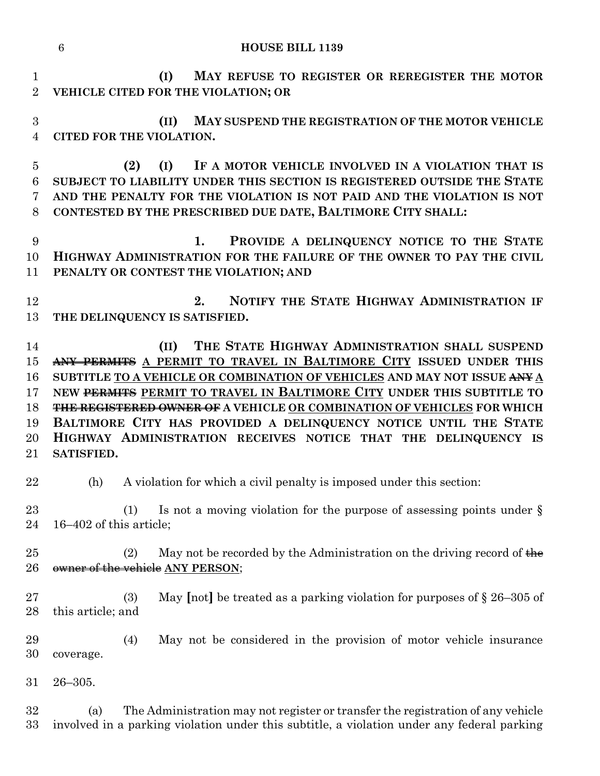|                                              | <b>HOUSE BILL 1139</b><br>6                                                                                                                                                                                                                                                                                                                                                                                                                                                                                     |
|----------------------------------------------|-----------------------------------------------------------------------------------------------------------------------------------------------------------------------------------------------------------------------------------------------------------------------------------------------------------------------------------------------------------------------------------------------------------------------------------------------------------------------------------------------------------------|
| $\mathbf{1}$<br>$\overline{2}$               | MAY REFUSE TO REGISTER OR REREGISTER THE MOTOR<br>(I)<br>VEHICLE CITED FOR THE VIOLATION; OR                                                                                                                                                                                                                                                                                                                                                                                                                    |
| 3<br>$\overline{4}$                          | (II)<br>MAY SUSPEND THE REGISTRATION OF THE MOTOR VEHICLE<br><b>CITED FOR THE VIOLATION.</b>                                                                                                                                                                                                                                                                                                                                                                                                                    |
| $\overline{5}$<br>6<br>7<br>8                | IF A MOTOR VEHICLE INVOLVED IN A VIOLATION THAT IS<br>(2)<br>(I)<br>SUBJECT TO LIABILITY UNDER THIS SECTION IS REGISTERED OUTSIDE THE STATE<br>AND THE PENALTY FOR THE VIOLATION IS NOT PAID AND THE VIOLATION IS NOT<br>CONTESTED BY THE PRESCRIBED DUE DATE, BALTIMORE CITY SHALL:                                                                                                                                                                                                                            |
| 9<br>10<br>11                                | PROVIDE A DELINQUENCY NOTICE TO THE STATE<br>1.<br>HIGHWAY ADMINISTRATION FOR THE FAILURE OF THE OWNER TO PAY THE CIVIL<br>PENALTY OR CONTEST THE VIOLATION; AND                                                                                                                                                                                                                                                                                                                                                |
| 12<br>13                                     | NOTIFY THE STATE HIGHWAY ADMINISTRATION IF<br>2.<br>THE DELINQUENCY IS SATISFIED.                                                                                                                                                                                                                                                                                                                                                                                                                               |
| 14<br>15<br>16<br>17<br>18<br>19<br>20<br>21 | THE STATE HIGHWAY ADMINISTRATION SHALL SUSPEND<br>(II)<br>ANY PERMITS A PERMIT TO TRAVEL IN BALTIMORE CITY ISSUED UNDER THIS<br>SUBTITLE TO A VEHICLE OR COMBINATION OF VEHICLES AND MAY NOT ISSUE ANY A<br>NEW PERMITS PERMIT TO TRAVEL IN BALTIMORE CITY UNDER THIS SUBTITLE TO<br>THE REGISTERED OWNER OF A VEHICLE OR COMBINATION OF VEHICLES FOR WHICH<br>BALTIMORE CITY HAS PROVIDED A DELINQUENCY NOTICE UNTIL THE STATE<br>HIGHWAY ADMINISTRATION RECEIVES NOTICE THAT THE DELINQUENCY IS<br>SATISFIED. |
| 22                                           | (h) A violation for which a civil penalty is imposed under this section:                                                                                                                                                                                                                                                                                                                                                                                                                                        |
| 23<br>24                                     | Is not a moving violation for the purpose of assessing points under $\S$<br>(1)<br>16–402 of this article;                                                                                                                                                                                                                                                                                                                                                                                                      |
| $25\,$<br>26                                 | May not be recorded by the Administration on the driving record of $\frac{1}{2}$<br>(2)<br>owner of the vehicle ANY PERSON;                                                                                                                                                                                                                                                                                                                                                                                     |
| $27\,$<br>28                                 | May [not] be treated as a parking violation for purposes of $\S 26-305$ of<br>(3)<br>this article; and                                                                                                                                                                                                                                                                                                                                                                                                          |
| 29<br>30                                     | May not be considered in the provision of motor vehicle insurance<br>(4)<br>coverage.                                                                                                                                                                                                                                                                                                                                                                                                                           |
| $31\,$                                       | $26 - 305.$                                                                                                                                                                                                                                                                                                                                                                                                                                                                                                     |
| $32\,$<br>$33\,$                             | The Administration may not register or transfer the registration of any vehicle<br>(a)<br>involved in a parking violation under this subtitle, a violation under any federal parking                                                                                                                                                                                                                                                                                                                            |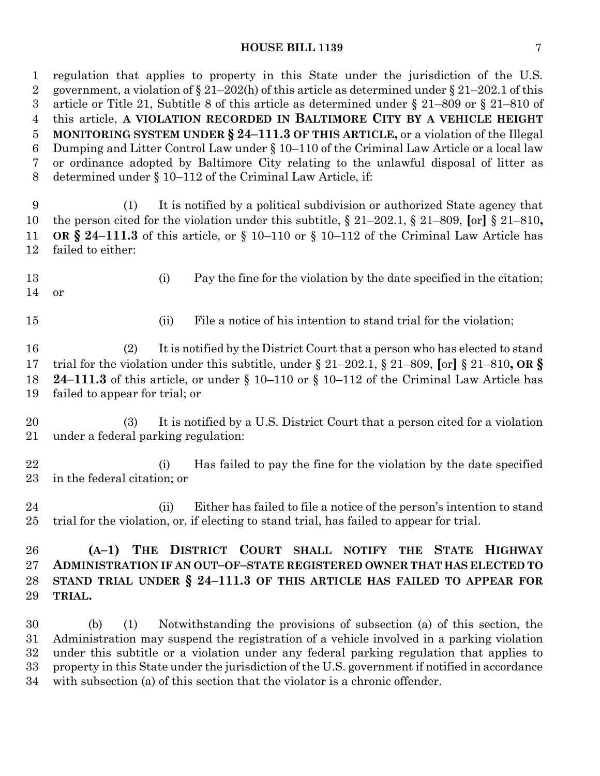#### **HOUSE BILL 1139** 7

 regulation that applies to property in this State under the jurisdiction of the U.S. 2 government, a violation of  $\S 21-202(h)$  of this article as determined under  $\S 21-202.1$  of this article or Title 21, Subtitle 8 of this article as determined under § 21–809 or § 21–810 of this article, **A VIOLATION RECORDED IN BALTIMORE CITY BY A VEHICLE HEIGHT MONITORING SYSTEM UNDER § 24–111.3 OF THIS ARTICLE,** or a violation of the Illegal Dumping and Litter Control Law under § 10–110 of the Criminal Law Article or a local law or ordinance adopted by Baltimore City relating to the unlawful disposal of litter as determined under § 10–112 of the Criminal Law Article, if: (1) It is notified by a political subdivision or authorized State agency that the person cited for the violation under this subtitle, § 21–202.1, § 21–809, **[**or**]** § 21–810**, OR § 24–111.3** of this article, or § 10–110 or § 10–112 of the Criminal Law Article has failed to either: (i) Pay the fine for the violation by the date specified in the citation; or 15 (ii) File a notice of his intention to stand trial for the violation; (2) It is notified by the District Court that a person who has elected to stand trial for the violation under this subtitle, under § 21–202.1, § 21–809, **[**or**]** § 21–810**, OR § 24–111.3** of this article, or under § 10–110 or § 10–112 of the Criminal Law Article has failed to appear for trial; or (3) It is notified by a U.S. District Court that a person cited for a violation under a federal parking regulation: (i) Has failed to pay the fine for the violation by the date specified in the federal citation; or (ii) Either has failed to file a notice of the person's intention to stand trial for the violation, or, if electing to stand trial, has failed to appear for trial. **(A–1) THE DISTRICT COURT SHALL NOTIFY THE STATE HIGHWAY ADMINISTRATION IF AN OUT–OF–STATE REGISTERED OWNER THAT HAS ELECTED TO STAND TRIAL UNDER § 24–111.3 OF THIS ARTICLE HAS FAILED TO APPEAR FOR TRIAL.** (b) (1) Notwithstanding the provisions of subsection (a) of this section, the Administration may suspend the registration of a vehicle involved in a parking violation under this subtitle or a violation under any federal parking regulation that applies to property in this State under the jurisdiction of the U.S. government if notified in accordance with subsection (a) of this section that the violator is a chronic offender.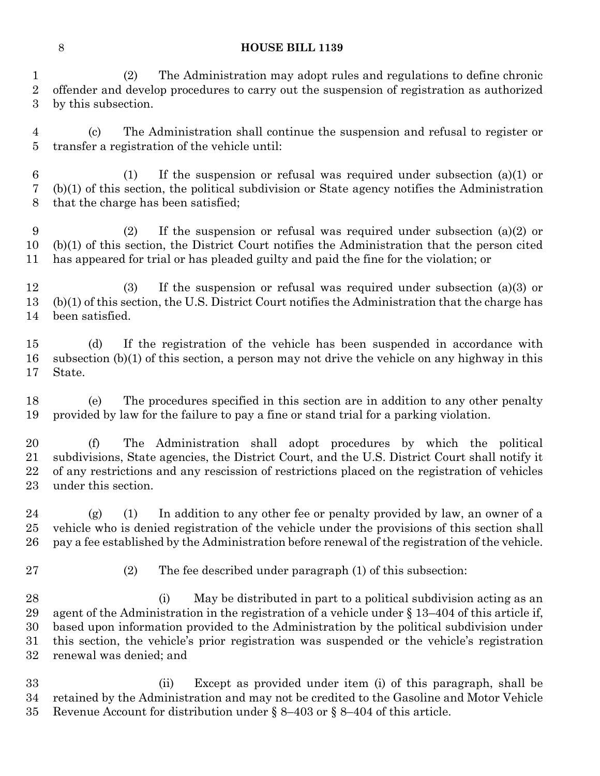(2) The Administration may adopt rules and regulations to define chronic offender and develop procedures to carry out the suspension of registration as authorized by this subsection.

 (c) The Administration shall continue the suspension and refusal to register or transfer a registration of the vehicle until:

 (1) If the suspension or refusal was required under subsection (a)(1) or (b)(1) of this section, the political subdivision or State agency notifies the Administration that the charge has been satisfied;

 (2) If the suspension or refusal was required under subsection (a)(2) or (b)(1) of this section, the District Court notifies the Administration that the person cited has appeared for trial or has pleaded guilty and paid the fine for the violation; or

 (3) If the suspension or refusal was required under subsection (a)(3) or (b)(1) of this section, the U.S. District Court notifies the Administration that the charge has been satisfied.

 (d) If the registration of the vehicle has been suspended in accordance with subsection (b)(1) of this section, a person may not drive the vehicle on any highway in this State.

 (e) The procedures specified in this section are in addition to any other penalty provided by law for the failure to pay a fine or stand trial for a parking violation.

 (f) The Administration shall adopt procedures by which the political subdivisions, State agencies, the District Court, and the U.S. District Court shall notify it of any restrictions and any rescission of restrictions placed on the registration of vehicles under this section.

 (g) (1) In addition to any other fee or penalty provided by law, an owner of a vehicle who is denied registration of the vehicle under the provisions of this section shall pay a fee established by the Administration before renewal of the registration of the vehicle.

(2) The fee described under paragraph (1) of this subsection:

28 (i) May be distributed in part to a political subdivision acting as an agent of the Administration in the registration of a vehicle under § 13–404 of this article if, based upon information provided to the Administration by the political subdivision under this section, the vehicle's prior registration was suspended or the vehicle's registration renewal was denied; and

 (ii) Except as provided under item (i) of this paragraph, shall be retained by the Administration and may not be credited to the Gasoline and Motor Vehicle Revenue Account for distribution under § 8–403 or § 8–404 of this article.